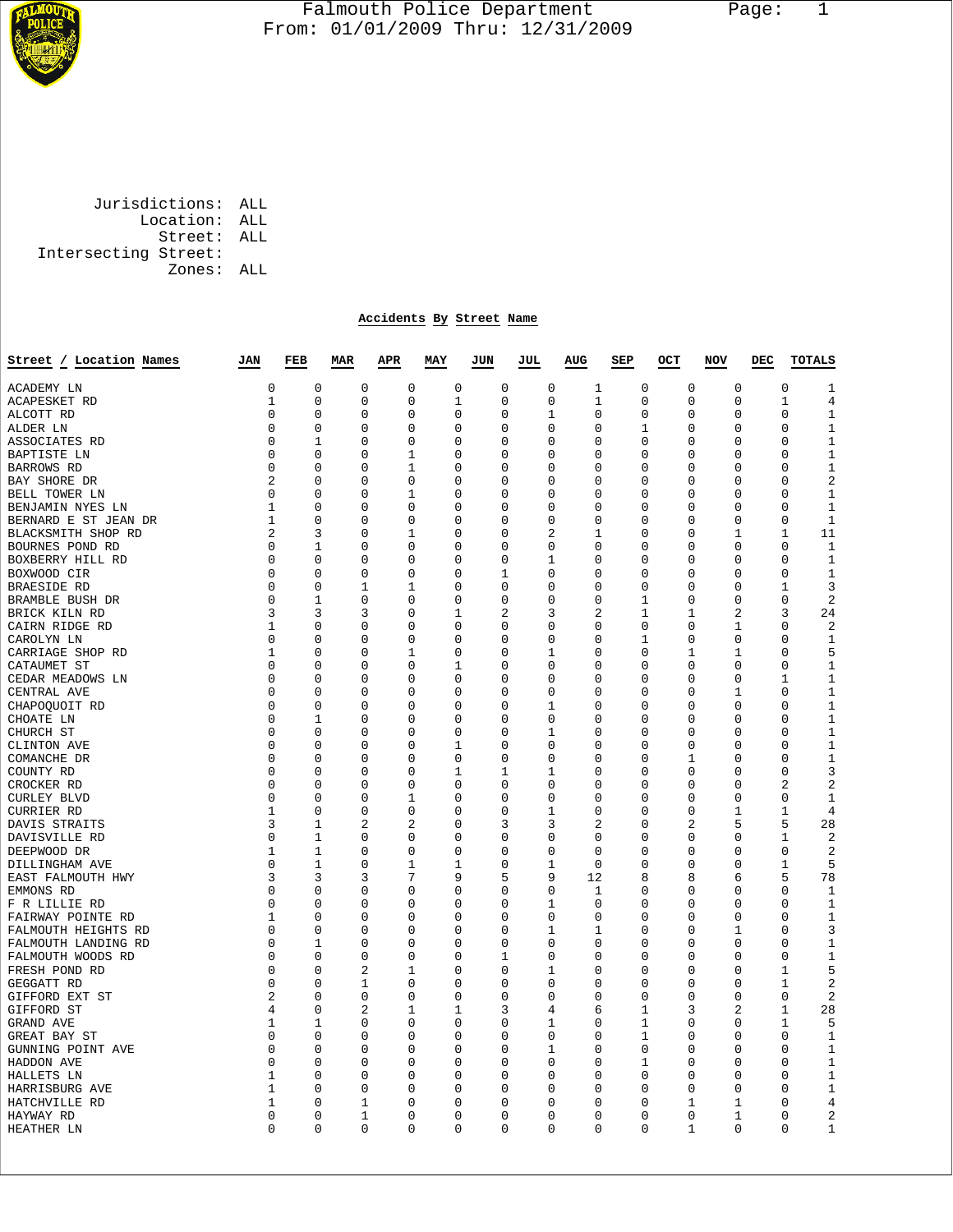

## Falmouth Police Department Page: 1  $\frac{1}{3}$  From: 01/01/2009 Thru: 12/31/2009

 Jurisdictions: ALL Location: ALL Street: ALL Intersecting Street: Zones: ALL

## **Accidents By Street Name**

| Street / Location Names | JAN         | FEB<br><b>MAR</b> |          | <b>APR</b>     | MAY          | JUN         | JUL         | <b>AUG</b>     | SEP          | OCT         | <b>NOV</b>     | DEC          | <b>TOTALS</b>                  |
|-------------------------|-------------|-------------------|----------|----------------|--------------|-------------|-------------|----------------|--------------|-------------|----------------|--------------|--------------------------------|
| ACADEMY LN              | $\mathbf 0$ | $\mathbf 0$       | 0        | $\mathbf 0$    | $\mathbf 0$  | $\mathbf 0$ | $\mathbf 0$ | 1              | $\mathbf 0$  | $\mathbf 0$ | 0              |              | $\mathbf 0$<br>1               |
| ACAPESKET RD            | 1           | 0                 | 0        | 0              | 1            | 0           | 0           | 1              | 0            | 0           | 0              |              | $\,4$<br>1                     |
| ALCOTT RD               | $\Omega$    | 0                 | 0        | 0              | 0            | $\Omega$    | 1           | 0              | $\Omega$     | $\Omega$    | $\Omega$       |              | $\mathbf 0$<br>1               |
| ALDER LN                | $\Omega$    | $\Omega$          | $\Omega$ | $\mathbf 0$    | $\Omega$     | $\Omega$    | $\Omega$    | $\Omega$       | 1            | $\Omega$    | $\Omega$       |              | $\mathbf 1$<br>$\mathbf 0$     |
| ASSOCIATES RD           | $\Omega$    | 1                 | 0        | $\Omega$       | $\Omega$     | $\Omega$    | $\Omega$    | 0              | $\Omega$     | 0           | $\Omega$       |              | $1\,$<br>$\Omega$              |
| BAPTISTE LN             | $\Omega$    | $\mathbf 0$       | 0        | $\mathbf{1}$   | $\Omega$     | $\Omega$    | $\Omega$    | 0              | $\Omega$     | 0           | $\Omega$       |              | $\mathbf 0$<br>1               |
| <b>BARROWS RD</b>       | 0           | 0                 | $\Omega$ | 1              | 0            | 0           | 0           | 0              | 0            | 0           | 0              |              | $\mathbf 1$<br>$\mathbf 0$     |
| BAY SHORE DR            | 2           | $\Omega$          | 0        | $\Omega$       | $\Omega$     | $\Omega$    | 0           | $\Omega$       | $\Omega$     | 0           | $\Omega$       |              | 2<br>$\Omega$                  |
| BELL TOWER LN           | 0           | 0                 | 0        | 1              | 0            | 0           | 0           | 0              | 0            | 0           | 0              |              | 0<br>1                         |
| BENJAMIN NYES LN        | 1           | $\Omega$          | $\Omega$ | 0              | $\Omega$     | $\Omega$    | $\Omega$    | $\Omega$       | $\Omega$     | $\Omega$    | $\Omega$       |              | $\mathbf{1}$<br>0              |
| BERNARD E ST JEAN DR    | 1           | 0                 | $\Omega$ | $\mathbf 0$    | 0            | $\Omega$    | 0           | 0              | 0            | 0           | 0              |              | $\mathbf{1}$<br>$\mathbf 0$    |
| BLACKSMITH SHOP RD      | 2           | 3                 | $\Omega$ | 1              | 0            | 0           | 2           | 1              | 0            | 0           | 1              |              | 1<br>11                        |
| BOURNES POND RD         | 0           | 1                 | 0        | 0              | 0            | 0           | 0           | 0              | 0            | 0           | 0              |              | $\mathbf 0$<br>1               |
| BOXBERRY HILL RD        | 0           | 0                 | $\Omega$ | 0              | $\mathbf 0$  | 0           | 1           | 0              | 0            | 0           | 0              |              | $\mathbf{1}$<br>$\mathbf 0$    |
| BOXWOOD CIR             | 0           | 0                 | 0        | 0              | 0            | 1           | 0           | 0              | 0            | 0           | 0              |              | $\mathbf 0$<br>$\mathbf 1$     |
| <b>BRAESIDE RD</b>      | $\Omega$    | $\mathbf 0$       | 1        | $\mathbf{1}$   | $\mathbf 0$  | $\mathbf 0$ | $\Omega$    | 0              | $\Omega$     | 0           | $\mathbf 0$    | $\mathbf{1}$ | 3                              |
| BRAMBLE BUSH DR         | 0           | 1                 | 0        | 0              | 0            | 0           | 0           | 0              | 1            | 0           | $\Omega$       |              | $\sqrt{2}$<br>0                |
|                         |             |                   |          | 0              |              |             |             |                |              |             |                |              | 3                              |
| BRICK KILN RD           | 3           | 3                 | 3        |                | 1            | 2           | 3           | 2              | 1            | 1           | 2              |              | 24                             |
| CAIRN RIDGE RD          | 1           | $\mathbf 0$       | 0        | $\mathsf 0$    | $\mathbf 0$  | 0           | 0           | 0              | $\mathsf 0$  | 0           | 1              |              | $\sqrt{2}$<br>0                |
| CAROLYN LN              | $\Omega$    | $\Omega$          | 0        | 0              | $\Omega$     | 0           | $\Omega$    | $\Omega$       | $\mathbf{1}$ | $\Omega$    | 0              |              | $\Omega$<br>1                  |
| CARRIAGE SHOP RD        | 1           | 0                 | 0        | $\mathbf 1$    | $\mathbf 0$  | 0           | 1           | 0              | 0            | 1           | $\mathbf{1}$   |              | $\mathbf 0$<br>5               |
| CATAUMET ST             | 0           | $\mathbf 0$       | 0        | $\mathbf 0$    | $\mathbf{1}$ | 0           | 0           | 0              | 0            | 0           | 0              |              | $\mathbf 0$<br>$\mathbf{1}$    |
| CEDAR MEADOWS LN        | 0           | $\mathbf 0$       | 0        | $\mathsf 0$    | $\mathbf 0$  | 0           | 0           | 0              | 0            | 0           | $\mathbf 0$    |              | $\mathbf{1}$<br>$\mathbf 1$    |
| CENTRAL AVE             | 0           | $\mathbf 0$       | 0        | $\mathsf 0$    | $\mathbf 0$  | 0           | 0           | 0              | 0            | 0           | 1              |              | $\mathbf 0$<br>1               |
| CHAPOQUOIT RD           | 0           | 0                 | 0        | $\mathbf 0$    | $\mathbf 0$  | 0           | 1           | 0              | 0            | 0           | 0              |              | $\mathbf 1$<br>$\mathbf 0$     |
| CHOATE LN               | 0           | 1                 | 0        | $\mathsf 0$    | $\mathbf 0$  | 0           | 0           | 0              | 0            | 0           | $\mathbf 0$    |              | $\mathbf 0$<br>1               |
| CHURCH ST               | 0           | 0                 | 0        | $\mathsf 0$    | $\mathbf 0$  | 0           | 1           | 0              | 0            | 0           | 0              |              | $\mathbf 1$<br>0               |
| CLINTON AVE             | 0           | $\mathbf 0$       | 0        | $\mathbf 0$    | $\mathbf{1}$ | 0           | 0           | 0              | $\Omega$     | 0           | $\mathbf 0$    |              | $\mathbf 0$<br>$\mathbf{1}$    |
| COMANCHE DR             | 0           | 0                 | 0        | 0              | 0            | 0           | 0           | 0              | 0            | 1           | 0              |              | $\mathbf{1}$<br>0              |
| COUNTY RD               | 0           | 0                 | 0        | $\mathbf 0$    | $\mathbf{1}$ | 1           | 1           | 0              | $\Omega$     | 0           | 0              |              | $\mathbf 0$<br>3               |
| CROCKER RD              | 0           | $\mathbf 0$       | 0        | $\mathbf 0$    | $\mathbf 0$  | 0           | 0           | 0              | 0            | 0           | $\mathbf 0$    |              | $\overline{\mathbf{c}}$<br>2   |
| CURLEY BLVD             | $\Omega$    | $\Omega$          | 0        | 1              | 0            | 0           | $\Omega$    | 0              | $\Omega$     | 0           | 0              |              | $\mathbf 0$<br>1               |
| CURRIER RD              | $\mathbf 1$ | $\mathbf 0$       | 0        | $\mathbf 0$    | $\mathbf 0$  | 0           | 1           | 0              | 0            | 0           | $\mathbf{1}$   |              | $\mathbf 1$<br>$\overline{4}$  |
| DAVIS STRAITS           | 3           | 1                 | 2        | $\overline{2}$ | $\mathbf 0$  | 3           | 3           | $\overline{2}$ | 0            | 2           | 5              |              | 5<br>28                        |
| DAVISVILLE RD           | 0           | 1                 | 0        | 0              | 0            | 0           | 0           | 0              | 0            | 0           | 0              | 1            | 2                              |
| DEEPWOOD DR             | 1           | 1                 | 0        | $\mathbf 0$    | $\mathbf 0$  | 0           | 0           | 0              | 0            | 0           | 0              |              | $\mathbf{0}$<br>$\overline{2}$ |
| DILLINGHAM AVE          | 0           | 1                 | 0        | 1              | 1            | 0           | 1           | 0              | 0            | 0           | 0              |              | 5<br>1                         |
| EAST FALMOUTH HWY       | 3           | 3                 | 3        | 7              | 9            | 5           | 9           | 12             | 8            | 8           | 6              |              | 5<br>78                        |
| EMMONS RD               | 0           | 0                 | 0        | 0              | 0            | 0           | 0           | 1              | 0            | 0           | 0              |              | $\mathbf 0$<br>1               |
| F R LILLIE RD           | 0           | 0                 | 0        | 0              | 0            | 0           | 1           | 0              | 0            | 0           | 0              |              | $\mathbf 0$<br>$\mathbf 1$     |
| FAIRWAY POINTE RD       | 1           | 0                 | 0        | 0              | $\mathbf 0$  | 0           | 0           | 0              | 0            | 0           | 0              |              | $\mathbf{1}$<br>0              |
| FALMOUTH HEIGHTS RD     | $\Omega$    | $\Omega$          | 0        | 0              | 0            | 0           | 1           | 1              | 0            | 0           | 1              |              | 3<br>$\mathbf 0$               |
| FALMOUTH LANDING RD     | 0           | 1                 | 0        | $\mathbf 0$    | $\mathbf 0$  | 0           | 0           | $\mathbf 0$    | 0            | 0           | 0              |              | $\mathbf 0$<br>1               |
| FALMOUTH WOODS RD       | $\Omega$    | $\Omega$          | 0        | 0              | 0            | 1           | 0           | 0              | 0            | 0           | $\Omega$       |              | 0<br>1                         |
| FRESH POND RD           | 0           | 0                 | 2        | 1              | 0            | 0           | 1           | 0              | 0            | 0           | 0              |              | 5<br>1                         |
| GEGGATT RD              | 0           | 0                 | 1        | 0              | $\mathbf 0$  | 0           | 0           | 0              | 0            | 0           | 0              |              | $\overline{2}$<br>1            |
| GIFFORD EXT ST          | 2           | 0                 | 0        | 0              | 0            | 0           | 0           | 0              | 0            | 0           | 0              |              | 2<br>$\mathbf 0$               |
| GIFFORD ST              | 4           | 0                 | 2        | 1              | 1            | 3           | 4           | 6              | 1            | 3           | $\overline{2}$ |              | $\mathbf{1}$<br>28             |
| GRAND AVE               | 1           | 1                 | 0        | 0              | 0            | 0           | 1           | 0              | 1            | 0           | 0              |              | 5<br>1                         |
| GREAT BAY ST            | 0           | 0                 | 0        | $\mathbf 0$    | $\mathbf 0$  | 0           | 0           | 0              | 1            | 0           | 0              |              | $\mathbf 0$<br>$\mathbf{1}$    |
| GUNNING POINT AVE       | 0           | 0                 | 0        | 0              | 0            | 0           | 1           | 0              | 0            | 0           | 0              |              | $\mathbf{1}$<br>$\mathbf 0$    |
| HADDON AVE              | $\Omega$    | $\Omega$          | 0        | $\Omega$       | $\Omega$     | $\Omega$    | $\Omega$    | $\Omega$       | 1            | $\Omega$    | $\Omega$       |              | $\Omega$<br>1                  |
| HALLETS LN              | 1           | 0                 | 0        | 0              | 0            | 0           | 0           | 0              | 0            | 0           | 0              |              | $\mathbf{1}$<br>$\mathbf 0$    |
| HARRISBURG AVE          | 1           | $\Omega$          | 0        | $\Omega$       | $\Omega$     | $\Omega$    | $\Omega$    | 0              | $\Omega$     | $\Omega$    | $\Omega$       |              | $\Omega$<br>$\mathbf 1$        |
| HATCHVILLE RD           | 1           | $\Omega$          | 1        | $\Omega$       | 0            | $\Omega$    | $\Omega$    | $\Omega$       | $\Omega$     | 1           | $\mathbf{1}$   |              | $\Omega$<br>$\overline{4}$     |
| HAYWAY RD               | 0           | 0                 | 1        | 0              | 0            | 0           | 0           | 0              | 0            | 0           | 1              |              | 2<br>$\mathbf 0$               |
|                         | $\Omega$    | $\Omega$          | $\Omega$ | $\Omega$       | $\Omega$     | $\Omega$    | $\Omega$    | $\Omega$       | $\Omega$     | 1           | $\Omega$       |              | $\Omega$<br>1                  |
| HEATHER LN              |             |                   |          |                |              |             |             |                |              |             |                |              |                                |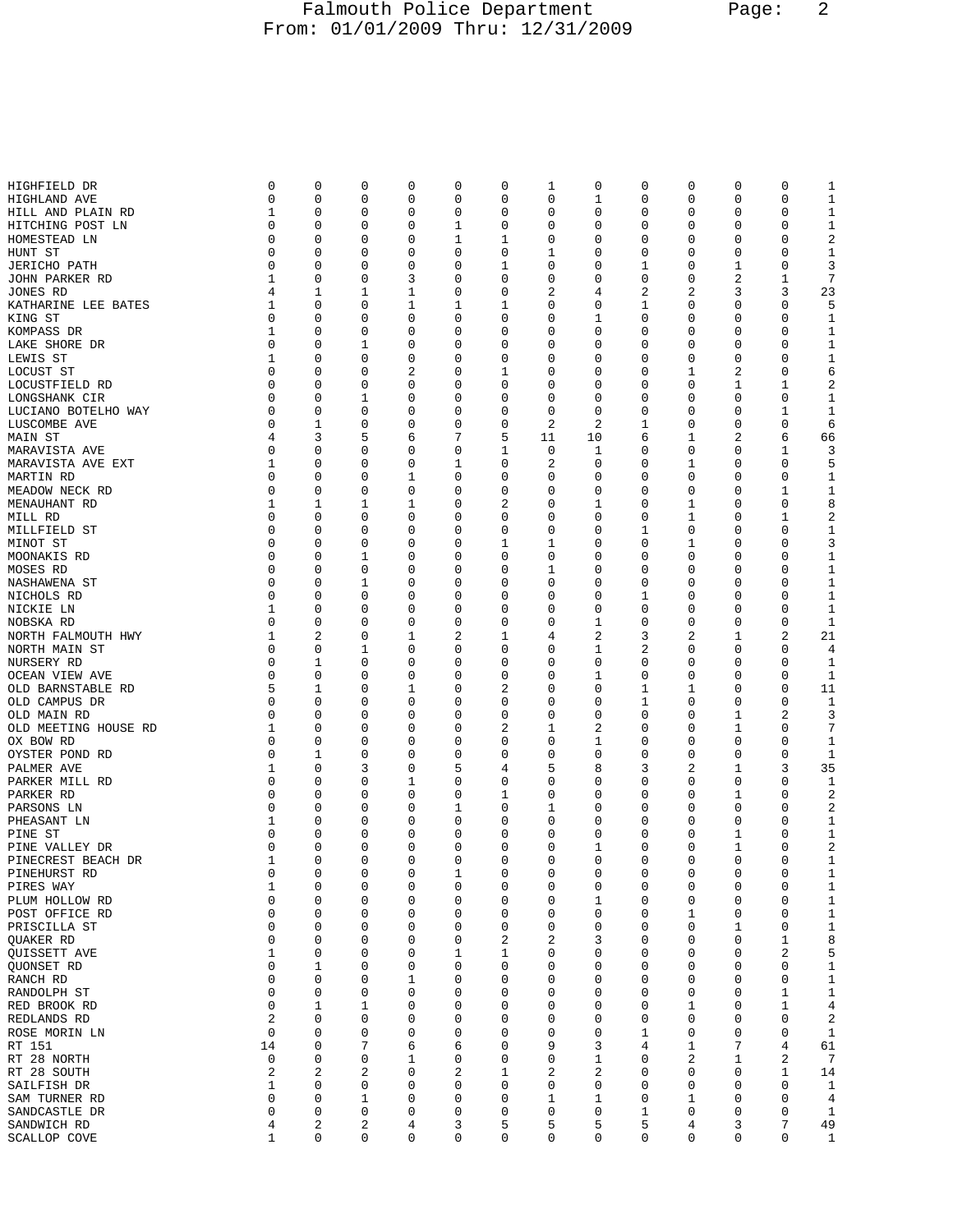## Falmouth Police Department Page: 2 From: 01/01/2009 Thru: 12/31/2009

| HIGHFIELD DR         | 0              | 0              | 0           | 0 | 0 | 0              | 1        | 0           | 0              | 0 | 0            | 0           | 1              |
|----------------------|----------------|----------------|-------------|---|---|----------------|----------|-------------|----------------|---|--------------|-------------|----------------|
| HIGHLAND AVE         | 0              | 0              | 0           | 0 | 0 | $\mathbf 0$    | 0        | 1           | 0              | 0 | 0            | $\mathbf 0$ | 1              |
|                      |                |                |             |   |   |                |          |             |                |   |              |             |                |
| HILL AND PLAIN RD    | 1              | 0              | 0           | 0 | 0 | 0              | 0        | 0           | 0              | 0 | 0            | 0           | $\mathbf{1}$   |
| HITCHING POST LN     | 0              | 0              | 0           | 0 | 1 | 0              | 0        | 0           | 0              | 0 | 0            | 0           | 1              |
|                      |                |                |             |   |   |                |          |             |                |   |              |             |                |
| HOMESTEAD LN         | $\mathbf 0$    | 0              | 0           | 0 | 1 | $\mathbf 1$    | 0        | 0           | 0              | 0 | 0            | 0           | $\sqrt{2}$     |
| HUNT ST              | 0              | 0              | 0           | 0 | 0 | 0              | 1        | 0           | 0              | 0 | 0            | 0           | 1              |
|                      |                |                |             |   |   |                |          |             |                |   |              |             |                |
| <b>JERICHO PATH</b>  | 0              | 0              | 0           | 0 | 0 | 1              | 0        | 0           | 1              | 0 | 1            | 0           | 3              |
|                      | 1              | 0              | 0           | 3 | 0 | 0              | 0        | 0           | 0              | 0 | 2            | 1           | 7              |
| JOHN PARKER RD       |                |                |             |   |   |                |          |             |                |   |              |             |                |
| JONES RD             | 4              | 1              | 1           | 1 | 0 | $\mathbf 0$    | 2        | 4           | $\overline{2}$ | 2 | 3            | 3           | 23             |
|                      |                | 0              |             |   |   |                |          |             |                |   |              | 0           | 5              |
| KATHARINE LEE BATES  | 1              |                | 0           | 1 | 1 | 1              | 0        | 0           | 1              | 0 | 0            |             |                |
| KING ST              | 0              | 0              | 0           | 0 | 0 | $\mathbf 0$    | 0        | 1           | 0              | 0 | 0            | 0           | 1              |
|                      |                |                |             |   |   |                |          |             |                |   |              |             |                |
| KOMPASS DR           | $\mathbf 1$    | 0              | 0           | 0 | 0 | 0              | 0        | 0           | 0              | 0 | 0            | 0           | 1              |
| LAKE SHORE DR        | 0              | 0              | 1           | 0 | 0 | 0              | 0        | 0           | 0              | 0 | 0            | 0           | 1              |
|                      |                |                |             |   |   |                |          |             |                |   |              |             |                |
| LEWIS ST             | 1              | 0              | 0           | 0 | 0 | $\mathbf 0$    | 0        | 0           | 0              | 0 | 0            | 0           | $\mathbf{1}$   |
| LOCUST ST            | $\mathbf 0$    | 0              | $\mathbf 0$ | 2 | 0 | $\mathbf 1$    | 0        | 0           | 0              | 1 | 2            | 0           | 6              |
|                      |                |                |             |   |   |                |          |             |                |   |              |             |                |
| LOCUSTFIELD RD       | 0              | 0              | 0           | 0 | 0 | 0              | 0        | 0           | 0              | 0 | 1            | 1           | 2              |
| LONGSHANK CIR        | $\mathbf 0$    | 0              | 1           | 0 | 0 | 0              | 0        | 0           | 0              | 0 | 0            | 0           | $\mathbf{1}$   |
|                      |                |                |             |   |   |                |          |             |                |   |              |             |                |
| LUCIANO BOTELHO WAY  | 0              | 0              | 0           | 0 | 0 | 0              | 0        | 0           | 0              | 0 | 0            | 1           | 1              |
| LUSCOMBE AVE         | 0              | 1              | 0           | 0 | 0 | 0              | 2        | 2           | 1              | 0 | 0            | 0           | 6              |
|                      |                |                |             |   |   |                |          |             |                |   |              |             |                |
| MAIN ST              | 4              | 3              | 5           | 6 | 7 | 5              | 11       | 10          | 6              | 1 | 2            | 6           | 66             |
| MARAVISTA AVE        | 0              | $\mathbf 0$    | 0           | 0 | 0 | $\mathbf 1$    | 0        | 1           | 0              | 0 | 0            | 1           | 3              |
|                      |                |                |             |   |   |                |          |             |                |   |              |             |                |
| MARAVISTA AVE EXT    | 1              | 0              | 0           | 0 | 1 | 0              | 2        | 0           | 0              | 1 | 0            | 0           | 5              |
| MARTIN RD            | 0              | 0              | 0           | 1 | 0 | $\mathbf 0$    | 0        | 0           | 0              | 0 | 0            | 0           | 1              |
|                      |                |                |             |   |   |                |          |             |                |   |              |             |                |
| MEADOW NECK RD       | $\mathbf 0$    | 0              | 0           | 0 | 0 | $\mathbf 0$    | 0        | 0           | 0              | 0 | 0            | $\mathbf 1$ | $\mathbf{1}$   |
| MENAUHANT RD         | 1              | 1              | 1           | 1 | 0 | 2              | 0        | 1           | 0              | 1 | 0            | 0           | 8              |
|                      |                |                |             |   |   |                |          |             |                |   |              |             |                |
| MILL RD              | 0              | 0              | 0           | 0 | 0 | $\mathbf 0$    | 0        | 0           | 0              | 1 | 0            | 1           | $\sqrt{2}$     |
|                      | $\mathbf 0$    | $\mathbf 0$    |             |   | 0 |                |          |             |                |   |              |             |                |
| MILLFIELD ST         |                |                | $\mathbf 0$ | 0 |   | $\mathbf 0$    | 0        | 0           | 1              | 0 | 0            | 0           | $1\,$          |
| MINOT ST             | 0              | 0              | 0           | 0 | 0 | 1              | 1        | 0           | 0              | 1 | 0            | 0           | 3              |
|                      | $\mathbf 0$    |                |             |   |   | $\mathbf 0$    |          |             |                |   |              |             |                |
| MOONAKIS RD          |                | 0              | 1           | 0 | 0 |                | 0        | 0           | 0              | 0 | 0            | 0           | $\mathbf{1}$   |
| MOSES RD             | 0              | 0              | 0           | 0 | 0 | $\mathbf 0$    | 1        | 0           | 0              | 0 | 0            | 0           | $\mathbf{1}$   |
|                      |                |                |             |   |   |                |          |             |                |   |              |             |                |
| NASHAWENA ST         | 0              | 0              | 1           | 0 | 0 | 0              | 0        | 0           | 0              | 0 | 0            | 0           | 1              |
| NICHOLS RD           | $\mathbf 0$    | 0              | 0           | 0 | 0 | 0              | 0        | 0           | 1              | 0 | 0            | 0           | $\mathbf{1}$   |
|                      |                |                |             |   |   |                |          |             |                |   |              |             |                |
| NICKIE LN            | 1              | $\mathbf 0$    | 0           | 0 | 0 | 0              | 0        | 0           | 0              | 0 | 0            | 0           | 1              |
| NOBSKA RD            | 0              | 0              | 0           | 0 | 0 | 0              | 0        | 1           | 0              | 0 | 0            | 0           | 1              |
|                      |                |                |             |   |   |                |          |             |                |   |              |             |                |
| NORTH FALMOUTH HWY   | 1              | $\overline{a}$ | 0           | 1 | 2 | 1              | 4        | 2           | 3              | 2 | 1            | 2           | 21             |
| NORTH MAIN ST        | $\mathbf 0$    | 0              | 1           | 0 | 0 | $\mathbf 0$    | 0        | 1           | $\overline{2}$ | 0 | 0            | 0           | 4              |
|                      |                |                |             |   |   |                |          |             |                |   |              |             |                |
| NURSERY RD           | 0              | 1              | 0           | 0 | 0 | 0              | 0        | 0           | 0              | 0 | 0            | 0           | 1              |
| OCEAN VIEW AVE       | 0              | 0              | 0           | 0 | 0 | $\mathbf 0$    | 0        | 1           | 0              | 0 | 0            | 0           | 1              |
|                      |                |                |             |   |   |                |          |             |                |   |              |             |                |
| OLD BARNSTABLE RD    | 5              | 1              | 0           | 1 | 0 | $\sqrt{2}$     | 0        | 0           | 1              | 1 | 0            | 0           | 11             |
| OLD CAMPUS DR        | 0              | 0              | 0           | 0 | 0 | 0              | 0        | 0           | 1              | 0 | 0            | 0           | 1              |
|                      |                |                |             |   |   |                |          |             |                |   |              |             |                |
| OLD MAIN RD          | $\Omega$       | 0              | 0           | 0 | 0 | $\mathbf 0$    | 0        | $\mathbf 0$ | 0              | 0 | 1            | 2           | 3              |
| OLD MEETING HOUSE RD | 1              | 0              | 0           | 0 | 0 | $\overline{2}$ | 1        | 2           | 0              | 0 | $\mathbf{1}$ | 0           | 7              |
|                      |                |                |             |   |   |                |          |             |                |   |              |             |                |
| OX BOW RD            | 0              | 0              | 0           | 0 | 0 | 0              | 0        | 1           | 0              | 0 | 0            | 0           | 1              |
| OYSTER POND RD       | 0              | 1              | 0           | 0 | 0 | $\mathbf 0$    | 0        | 0           | 0              | 0 | 0            | 0           | 1              |
|                      |                |                |             |   |   |                |          |             |                |   |              |             |                |
| PALMER AVE           | 1              | 0              | 3           | 0 | 5 | 4              | 5        | 8           | 3              | 2 | 1            | 3           | 35             |
| PARKER MILL RD       | 0              | 0              | 0           | 1 | 0 | 0              | 0        | 0           | 0              | 0 | 0            | 0           | 1              |
|                      |                |                |             |   |   |                |          |             |                |   |              |             |                |
| PARKER RD            | 0              | 0              | 0           | 0 | 0 | 1              | 0        | 0           | 0              | 0 | 1            | 0           | $\sqrt{2}$     |
| PARSONS LN           | $\mathbf 0$    | 0              | 0           | 0 | 1 | $\mathbf 0$    | 1        | $\mathbf 0$ | 0              | 0 | $\mathbf 0$  | 0           | $\sqrt{2}$     |
|                      |                |                |             |   |   |                |          |             |                |   |              |             |                |
| PHEASANT LN          | 1              | 0              | 0           | 0 | 0 | 0              | 0        | 0           | 0              | 0 | 0            | 0           | 1              |
| PINE ST              | 0              | 0              | 0           | 0 | 0 | 0              | 0        | 0           | 0              | 0 | 1            | 0           | 1              |
|                      |                |                |             |   |   |                |          |             |                |   |              |             |                |
| PINE VALLEY DR       | 0              | 0              | 0           | 0 | 0 | 0              | 0        | 1           | 0              | 0 | 1            | 0           | $\sqrt{2}$     |
| PINECREST BEACH DR   | 1              | $\Omega$       | 0           | 0 | 0 | 0              | $\Omega$ | 0           | 0              | 0 | 0            | 0           | 1              |
|                      |                |                |             |   |   |                |          |             |                |   |              |             |                |
| PINEHURST RD         | $\mathsf 0$    | 0              | 0           | 0 | 1 | 0              | 0        | $\mathsf 0$ | 0              | 0 | 0            | 0           | 1              |
| PIRES WAY            | 1              | 0              | 0           | 0 | 0 | 0              | 0        | 0           | 0              | 0 | 0            | 0           | 1              |
|                      |                |                |             |   |   |                |          |             |                |   |              |             |                |
| PLUM HOLLOW RD       | 0              | 0              | 0           | 0 | 0 | 0              | 0        | 1           | 0              | 0 | 0            | 0           | $\mathbf{1}$   |
| POST OFFICE RD       | $\mathsf 0$    | 0              | 0           | 0 | 0 | 0              | 0        | 0           | 0              | 1 | 0            | 0           | $\mathbf 1$    |
|                      |                |                |             |   |   |                |          |             |                |   |              |             |                |
| PRISCILLA ST         | $\mathsf 0$    | $\mathbf 0$    | 0           | 0 | 0 | $\mathbf 0$    | 0        | 0           | 0              | 0 | 1            | $\mathbf 0$ | $1\,$          |
| QUAKER RD            | 0              | 0              | 0           | 0 | 0 | 2              | 2        | 3           | 0              | 0 | 0            | 1           | 8              |
|                      |                |                |             |   |   |                |          |             |                |   |              |             |                |
| QUISSETT AVE         | 1              | 0              | 0           | 0 | 1 | 1              | 0        | 0           | 0              | 0 | 0            | 2           | 5              |
| QUONSET RD           | $\mathbf 0$    | $\mathbf{1}$   | 0           | 0 | 0 | $\mathbf 0$    | 0        | 0           | 0              | 0 | 0            | 0           | $1\,$          |
|                      |                |                |             |   |   |                |          |             |                |   |              |             |                |
| RANCH RD             | 0              | 0              | 0           | 1 | 0 | 0              | 0        | 0           | 0              | 0 | 0            | 0           | $\mathbf 1$    |
|                      | $\mathsf 0$    | $\mathbf 0$    | 0           | 0 | 0 | 0              | 0        | 0           | 0              | 0 | 0            | 1           |                |
| RANDOLPH ST          |                |                |             |   |   |                |          |             |                |   |              |             | $1\,$          |
| RED BROOK RD         | $\mathbf 0$    | 1              | 1           | 0 | 0 | $\mathbf 0$    | 0        | 0           | 0              | 1 | 0            | 1           | 4              |
|                      |                |                |             |   |   |                |          |             |                |   |              |             |                |
| REDLANDS RD          | 2              | 0              | 0           | 0 | 0 | 0              | 0        | 0           | 0              | 0 | 0            | 0           | 2              |
| ROSE MORIN LN        | $\mathbf 0$    | 0              | 0           | 0 | 0 | $\mathbf 0$    | 0        | 0           | 1              | 0 | 0            | 0           | 1              |
|                      |                |                |             |   |   |                |          |             |                |   |              |             |                |
| RT 151               | 14             | $\mathbf 0$    | 7           | 6 | 6 | $\mathbf 0$    | 9        | 3           | 4              | 1 | 7            | 4           | 61             |
| RT 28 NORTH          | 0              | 0              | 0           | 1 | 0 | 0              | 0        | 1           | 0              | 2 | 1            | 2           | $\overline{7}$ |
|                      |                |                |             |   |   |                |          |             |                |   |              |             |                |
| RT 28 SOUTH          | $\overline{2}$ | 2              | 2           | 0 | 2 | 1              | 2        | 2           | 0              | 0 | 0            | 1           | 14             |
| SAILFISH DR          | 1              | $\mathbf 0$    | 0           | 0 | 0 | $\mathbf 0$    | 0        | 0           | 0              | 0 | 0            | $\mathbf 0$ | 1              |
|                      |                |                |             |   |   |                |          |             |                |   |              |             |                |
| SAM TURNER RD        | 0              | 0              | 1           | 0 | 0 | 0              | 1        | 1           | 0              | 1 | 0            | 0           | 4              |
| SANDCASTLE DR        | 0              | 0              | 0           | 0 | 0 | $\mathbf 0$    | 0        | 0           | 1              | 0 | 0            | 0           | $\mathbf{1}$   |
|                      |                |                |             |   |   |                |          |             |                |   |              |             |                |
| SANDWICH RD          | 4              | 2              | 2           | 4 | 3 | 5              | 5        | 5           | 5              | 4 | 3            | 7           | 49             |
| <b>SCALLOP COVE</b>  | 1              | 0              | 0           | 0 | 0 | 0              | 0        | 0           | 0              | 0 | 0            | 0           | $\mathbf{1}$   |